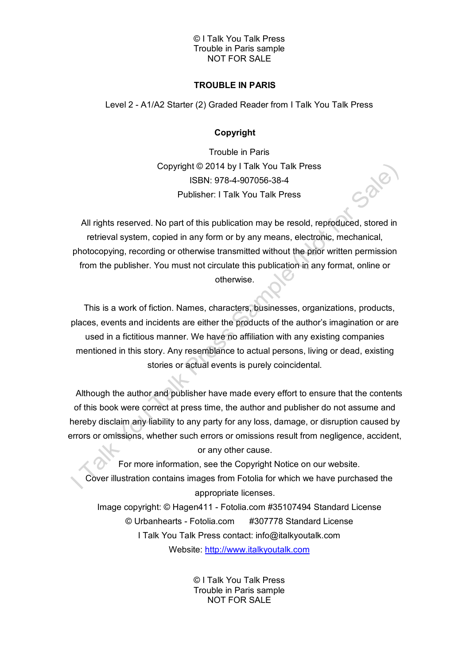# **TROUBLE IN PARIS**

Level 2 - A1/A2 Starter (2) Graded Reader from I Talk You Talk Press

# **Copyright**

Trouble in Paris Copyright © 2014 by I Talk You Talk Press ISBN: 978-4-907056-38-4 Publisher: I Talk You Talk Press

All rights reserved. No part of this publication may be resold, reproduced, stored in retrieval system, copied in any form or by any means, electronic, mechanical, photocopying, recording or otherwise transmitted without the prior written permission from the publisher. You must not circulate this publication in any format, online or otherwise.

This is a work of fiction. Names, characters, businesses, organizations, products, places, events and incidents are either the products of the author's imagination or are used in a fictitious manner. We have no affiliation with any existing companies mentioned in this story. Any resemblance to actual persons, living or dead, existing stories or actual events is purely coincidental.

Although the author and publisher have made every effort to ensure that the contents of this book were correct at press time, the author and publisher do not assume and hereby disclaim any liability to any party for any loss, damage, or disruption caused by errors or omissions, whether such errors or omissions result from negligence, accident, or any other cause.

For more information, see the Copyright Notice on our website. Cover illustration contains images from Fotolia for which we have purchased the appropriate licenses.

Image copyright: © Hagen411 - Fotolia.com #35107494 Standard License © Urbanhearts - Fotolia.com #307778 Standard License I Talk You Talk Press contact: info@italkyoutalk.com Website: [http://www.italkyoutalk.com](http://www.italkyoutalk.com/)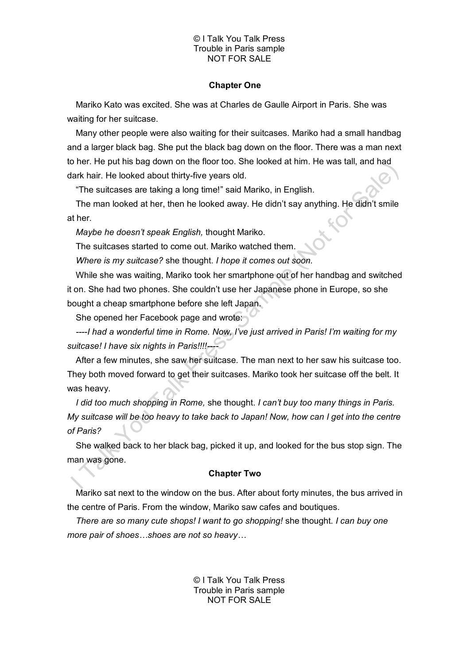#### **Chapter One**

Mariko Kato was excited. She was at Charles de Gaulle Airport in Paris. She was waiting for her suitcase.

Many other people were also waiting for their suitcases. Mariko had a small handbag and a larger black bag. She put the black bag down on the floor. There was a man next to her. He put his bag down on the floor too. She looked at him. He was tall, and had dark hair. He looked about thirty-five years old.

"The suitcases are taking a long time!" said Mariko, in English.

The man looked at her, then he looked away. He didn't say anything. He didn't smile at her.

*Maybe he doesn't speak English,* thought Mariko.

The suitcases started to come out. Mariko watched them.

*Where is my suitcase?* she thought. *I hope it comes out soon.* 

While she was waiting, Mariko took her smartphone out of her handbag and switched it on. She had two phones. She couldn't use her Japanese phone in Europe, so she bought a cheap smartphone before she left Japan.

She opened her Facebook page and wrote:

*----I had a wonderful time in Rome. Now, I've just arrived in Paris! I'm waiting for my suitcase! I have six nights in Paris!!!!----*

After a few minutes, she saw her suitcase. The man next to her saw his suitcase too. They both moved forward to get their suitcases. Mariko took her suitcase off the belt. It was heavy.

*I did too much shopping in Rome,* she thought. *I can't buy too many things in Paris. My suitcase will be too heavy to take back to Japan! Now, how can I get into the centre of Paris?*

She walked back to her black bag, picked it up, and looked for the bus stop sign. The man was gone.

## **Chapter Two**

Mariko sat next to the window on the bus. After about forty minutes, the bus arrived in the centre of Paris. From the window, Mariko saw cafes and boutiques.

*There are so many cute shops! I want to go shopping!* she thought. *I can buy one more pair of shoes…shoes are not so heavy…*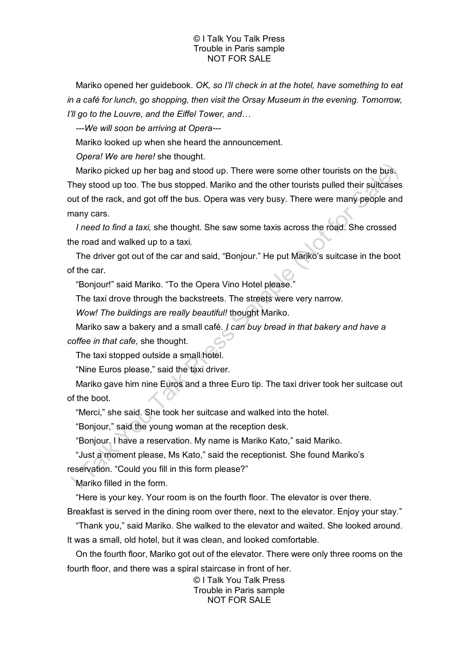Mariko opened her guidebook. *OK, so I'll check in at the hotel, have something to eat in a café for lunch, go shopping, then visit the Orsay Museum in the evening. Tomorrow, I'll go to the Louvre, and the Eiffel Tower, and…*

*---We will soon be arriving at Opera---*

Mariko looked up when she heard the announcement.

*Opera! We are here!* she thought.

Mariko picked up her bag and stood up. There were some other tourists on the bus. They stood up too. The bus stopped. Mariko and the other tourists pulled their suitcases out of the rack, and got off the bus. Opera was very busy. There were many people and many cars.

*I need to find a taxi,* she thought. She saw some taxis across the road. She crossed the road and walked up to a taxi.

The driver got out of the car and said, "Bonjour." He put Mariko's suitcase in the boot of the car.

"Bonjour!" said Mariko. "To the Opera Vino Hotel please."

The taxi drove through the backstreets. The streets were very narrow.

*Wow! The buildings are really beautiful!* thought Mariko.

Mariko saw a bakery and a small café. *I can buy bread in that bakery and have a coffee in that cafe,* she thought.

The taxi stopped outside a small hotel.

"Nine Euros please," said the taxi driver.

Mariko gave him nine Euros and a three Euro tip. The taxi driver took her suitcase out of the boot.

"Merci," she said. She took her suitcase and walked into the hotel.

"Bonjour," said the young woman at the reception desk.

"Bonjour. I have a reservation. My name is Mariko Kato," said Mariko.

"Just a moment please, Ms Kato," said the receptionist. She found Mariko's

reservation. "Could you fill in this form please?"

Mariko filled in the form.

"Here is your key. Your room is on the fourth floor. The elevator is over there.

Breakfast is served in the dining room over there, next to the elevator. Enjoy your stay."

"Thank you," said Mariko. She walked to the elevator and waited. She looked around. It was a small, old hotel, but it was clean, and looked comfortable.

On the fourth floor, Mariko got out of the elevator. There were only three rooms on the fourth floor, and there was a spiral staircase in front of her.